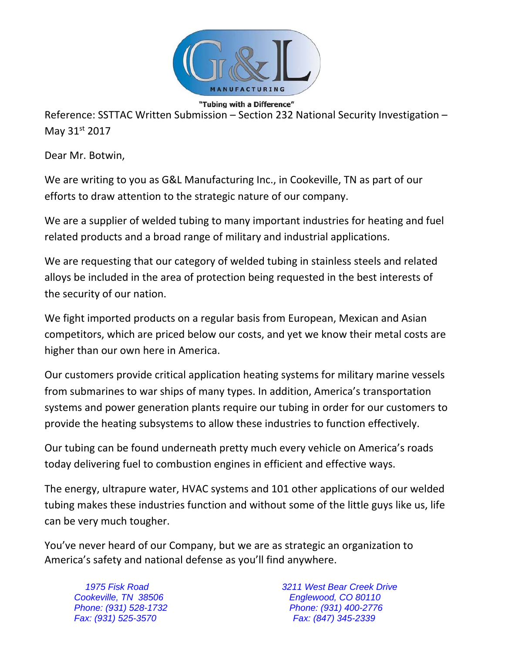

Reference: SSTTAC Written Submission – Section 232 National Security Investigation – May 31st 2017

Dear Mr. Botwin,

We are writing to you as G&L Manufacturing Inc., in Cookeville, TN as part of our efforts to draw attention to the strategic nature of our company.

We are a supplier of welded tubing to many important industries for heating and fuel related products and a broad range of military and industrial applications.

We are requesting that our category of welded tubing in stainless steels and related alloys be included in the area of protection being requested in the best interests of the security of our nation.

We fight imported products on a regular basis from European, Mexican and Asian competitors, which are priced below our costs, and yet we know their metal costs are higher than our own here in America.

Our customers provide critical application heating systems for military marine vessels from submarines to war ships of many types. In addition, America's transportation systems and power generation plants require our tubing in order for our customers to provide the heating subsystems to allow these industries to function effectively.

Our tubing can be found underneath pretty much every vehicle on America's roads today delivering fuel to combustion engines in efficient and effective ways.

The energy, ultrapure water, HVAC systems and 101 other applications of our welded tubing makes these industries function and without some of the little guys like us, life can be very much tougher.

You've never heard of our Company, but we are as strategic an organization to America's safety and national defense as you'll find anywhere.

*Fax: (931) 525-3570 Fax: (847) 345-2339* 

*1975 Fisk Road 3211 West Bear Creek Drive Cookeville, TN 38506 Englewood, CO 80110 Phone: (931) 528-1732 Phone: (931) 400-2776*